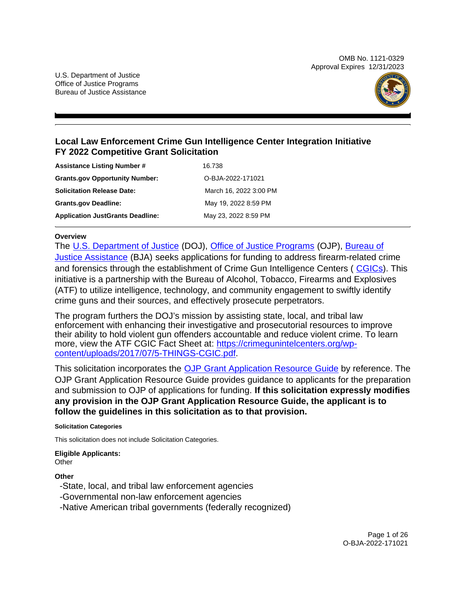OMB No. 1121-0329 Approval Expires 12/31/2023

U.S. Department of Justice Office of Justice Programs Bureau of Justice Assistance



## **Local Law Enforcement Crime Gun Intelligence Center Integration Initiative FY 2022 Competitive Grant Solicitation**

| <b>Assistance Listing Number #</b>      | 16.738                 |
|-----------------------------------------|------------------------|
| <b>Grants.gov Opportunity Number:</b>   | O-BJA-2022-171021      |
| <b>Solicitation Release Date:</b>       | March 16, 2022 3:00 PM |
| <b>Grants.gov Deadline:</b>             | May 19, 2022 8:59 PM   |
| <b>Application JustGrants Deadline:</b> | May 23, 2022 8:59 PM   |

#### **Overview**

The [U.S. Department of Justice](https://www.usdoj.gov/) (DOJ), [Office of Justice Programs](https://www.ojp.usdoj.gov/) (OJP), [Bureau of](https://bja.ojp.gov/)  [Justice Assistance](https://bja.ojp.gov/) (BJA) seeks applications for funding to address firearm-related crime and forensics through the establishment of Crime Gun Intelligence Centers ( [CGICs](https://crimegunintelcenters.org/)). This initiative is a partnership with the Bureau of Alcohol, Tobacco, Firearms and Explosives (ATF) to utilize intelligence, technology, and community engagement to swiftly identify crime guns and their sources, and effectively prosecute perpetrators.

The program furthers the DOJ's mission by assisting state, local, and tribal law enforcement with enhancing their investigative and prosecutorial resources to improve their ability to hold violent gun offenders accountable and reduce violent crime. To learn more, view the ATF CGIC Fact Sheet at: [https://crimegunintelcenters.org/wp](https://crimegunintelcenters.org/wp-content/uploads/2017/07/5-THINGS-CGIC.pdf)[content/uploads/2017/07/5-THINGS-CGIC.pdf.](https://crimegunintelcenters.org/wp-content/uploads/2017/07/5-THINGS-CGIC.pdf)

This solicitation incorporates the [OJP Grant Application Resource Guide](https://www.ojp.gov/funding/Apply/Resources/Grant-App-Resource-Guide.htm) by reference. The OJP Grant Application Resource Guide provides guidance to applicants for the preparation and submission to OJP of applications for funding. **If this solicitation expressly modifies any provision in the OJP Grant Application Resource Guide, the applicant is to follow the guidelines in this solicitation as to that provision.** 

**Solicitation Categories** 

This solicitation does not include Solicitation Categories.

**Eligible Applicants: Other** 

**Other** 

-State, local, and tribal law enforcement agencies

- -Governmental non-law enforcement agencies
- -Native American tribal governments (federally recognized)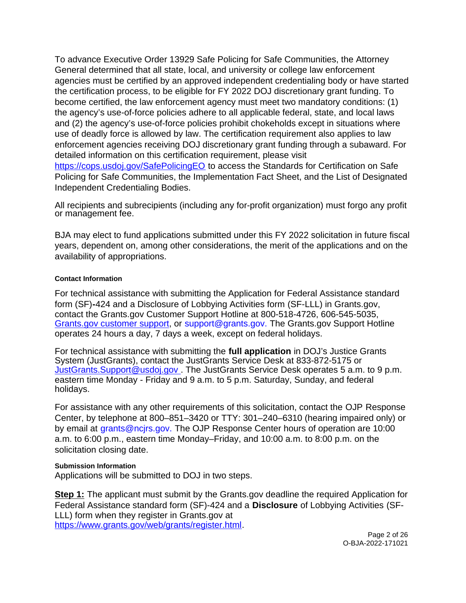<span id="page-1-0"></span>To advance Executive Order 13929 Safe Policing for Safe Communities, the Attorney General determined that all state, local, and university or college law enforcement agencies must be certified by an approved independent credentialing body or have started the certification process, to be eligible for FY 2022 DOJ discretionary grant funding. To become certified, the law enforcement agency must meet two mandatory conditions: (1) the agency's use-of-force policies adhere to all applicable federal, state, and local laws and (2) the agency's use-of-force policies prohibit chokeholds except in situations where use of deadly force is allowed by law. The certification requirement also applies to law enforcement agencies receiving DOJ discretionary grant funding through a subaward. For detailed information on this certification requirement, please visit [https://cops.usdoj.gov/SafePolicingEO](https://cops.usdoj.gov/SafePolicingEO%20) to access the Standards for Certification on Safe Policing for Safe Communities, the Implementation Fact Sheet, and the List of Designated Independent Credentialing Bodies.

All recipients and subrecipients (including any for-profit organization) must forgo any profit or management fee.

BJA may elect to fund applications submitted under this FY 2022 solicitation in future fiscal years, dependent on, among other considerations, the merit of the applications and on the availability of appropriations.

### **Contact Information**

For technical assistance with submitting the Application for Federal Assistance standard form (SF)**-**424 and a Disclosure of Lobbying Activities form (SF-LLL) in [Grants.gov,](https://Grants.gov) contact the [Grants.gov](https://Grants.gov) Customer Support Hotline at 800-518-4726, 606-545-5035, [Grants.gov customer support,](https://www.grants.gov/web/grants/support.html) or [support@grants.gov. T](mailto:support@grants.gov)he [Grants.gov](https://Grants.gov) Support Hotline operates 24 hours a day, 7 days a week, except on federal holidays.

For technical assistance with submitting the **full application** in DOJ's Justice Grants System (JustGrants), contact the JustGrants Service Desk at 833-872-5175 or [JustGrants.Support@usdoj.gov .](mailto:JustGrants.Support@usdoj.gov%20) The JustGrants Service Desk operates 5 a.m. to 9 p.m. eastern time Monday - Friday and 9 a.m. to 5 p.m. Saturday, Sunday, and federal holidays.

For assistance with any other requirements of this solicitation, contact the OJP Response Center, by telephone at 800–851–3420 or TTY: 301–240–6310 (hearing impaired only) or by email at [grants@ncjrs.gov.](mailto:grants@ncjrs.gov) The OJP Response Center hours of operation are 10:00 a.m. to 6:00 p.m., eastern time Monday–Friday, and 10:00 a.m. to 8:00 p.m. on the solicitation closing date.

#### **Submission Information**

Applications will be submitted to DOJ in two steps.

**Step 1:** The applicant must submit by the [Grants.gov](https://Grants.gov) deadline the required Application for Federal Assistance standard form (SF)-424 and a **Disclosure** of Lobbying Activities (SF-LLL) form when they register in [Grants.gov](https://Grants.gov) at [https://www.grants.gov/web/grants/register.html.](https://www.grants.gov/web/grants/register.html)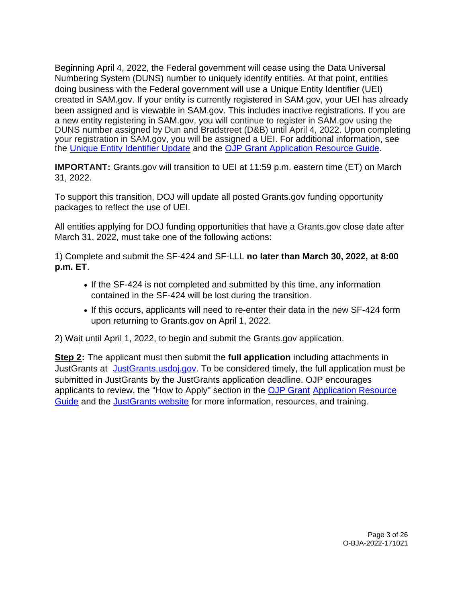Beginning April 4, 2022, the Federal government will cease using the Data Universal Numbering System (DUNS) number to uniquely identify entities. At that point, entities doing business with the Federal government will use a Unique Entity Identifier (UEI) created in SAM.gov. If your entity is currently registered in SAM.gov, your UEI has already been assigned and is viewable in SAM.gov. This includes inactive registrations. If you are a new entity registering in SAM.gov, you will continue to register in SAM.gov using the DUNS number assigned by Dun and Bradstreet (D&B) until April 4, 2022. Upon completing your registration in SAM.gov, you will be assigned a UEI. For additional information, see the [Unique Entity Identifier Update](https://www.gsa.gov/about-us/organization/federal-acquisition-service/office-of-systems-management/integrated-award-environment-iae/iae-systems-information-kit/unique-entity-identifier-update) and the [OJP Grant Application Resource Guide.](https://www.ojp.gov/funding/apply/ojp-grant-application-resource-guide#unique-entity)

**IMPORTANT:** [Grants.gov](https://Grants.gov) will transition to UEI at 11:59 p.m. eastern time (ET) on March 31, 2022.

To support this transition, DOJ will update all posted [Grants.gov](https://Grants.gov) funding opportunity packages to reflect the use of UEI.

All entities applying for DOJ funding opportunities that have a [Grants.gov](https://Grants.gov) close date after March 31, 2022, must take one of the following actions:

1) Complete and submit the SF-424 and SF-LLL **no later than March 30, 2022, at 8:00 p.m. ET**.

- If the SF-424 is not completed and submitted by this time, any information contained in the SF-424 will be lost during the transition.
- If this occurs, applicants will need to re-enter their data in the new SF-424 form upon returning to [Grants.gov](https://Grants.gov) on April 1, 2022.

2) Wait until April 1, 2022, to begin and submit the [Grants.gov](https://Grants.gov) application.

**Step 2:** The applicant must then submit the **full application** including attachments in JustGrants at [JustGrants.usdoj.gov.](https://justicegrants.usdoj.gov/) To be considered timely, the full application must be submitted in JustGrants by the JustGrants application deadline. OJP encourages applicants to review, the "How to Apply" section in the [OJP Grant Application Resource](https://www.ojp.gov/funding/apply/ojp-grant-application-resource-guide#apply)  [Guide](https://www.ojp.gov/funding/apply/ojp-grant-application-resource-guide#apply) and the [JustGrants website](https://justicegrants.usdoj.gov/news) for more information, resources, and training.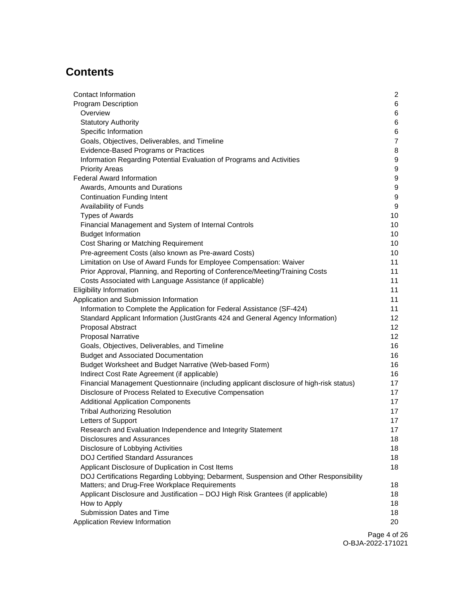# **Contents**

| Contact Information                                                                     | $\overline{2}$ |
|-----------------------------------------------------------------------------------------|----------------|
| <b>Program Description</b>                                                              | 6              |
| Overview                                                                                | 6              |
| <b>Statutory Authority</b>                                                              | 6              |
| Specific Information                                                                    | 6              |
| Goals, Objectives, Deliverables, and Timeline                                           | $\overline{7}$ |
| Evidence-Based Programs or Practices                                                    | 8              |
| Information Regarding Potential Evaluation of Programs and Activities                   | 9              |
| <b>Priority Areas</b>                                                                   | 9              |
| <b>Federal Award Information</b>                                                        | 9              |
| Awards, Amounts and Durations                                                           | 9              |
| <b>Continuation Funding Intent</b>                                                      | 9              |
| Availability of Funds                                                                   | 9              |
| <b>Types of Awards</b>                                                                  | 10             |
| Financial Management and System of Internal Controls                                    | 10             |
| <b>Budget Information</b>                                                               | 10             |
| Cost Sharing or Matching Requirement                                                    | 10             |
| Pre-agreement Costs (also known as Pre-award Costs)                                     | 10             |
| Limitation on Use of Award Funds for Employee Compensation: Waiver                      | 11             |
| Prior Approval, Planning, and Reporting of Conference/Meeting/Training Costs            | 11             |
| Costs Associated with Language Assistance (if applicable)                               | 11             |
| <b>Eligibility Information</b>                                                          | 11             |
| Application and Submission Information                                                  | 11             |
| Information to Complete the Application for Federal Assistance (SF-424)                 | 11             |
| Standard Applicant Information (JustGrants 424 and General Agency Information)          | 12             |
| Proposal Abstract                                                                       | 12             |
| <b>Proposal Narrative</b>                                                               | 12             |
| Goals, Objectives, Deliverables, and Timeline                                           | 16             |
| <b>Budget and Associated Documentation</b>                                              | 16             |
| Budget Worksheet and Budget Narrative (Web-based Form)                                  | 16             |
| Indirect Cost Rate Agreement (if applicable)                                            | 16             |
| Financial Management Questionnaire (including applicant disclosure of high-risk status) | 17             |
| Disclosure of Process Related to Executive Compensation                                 | 17             |
| <b>Additional Application Components</b>                                                | 17             |
| <b>Tribal Authorizing Resolution</b>                                                    | 17             |
| Letters of Support                                                                      | 17             |
| Research and Evaluation Independence and Integrity Statement                            | 17             |
| Disclosures and Assurances                                                              | 18             |
| Disclosure of Lobbying Activities                                                       | 18             |
| <b>DOJ Certified Standard Assurances</b>                                                | 18             |
| Applicant Disclosure of Duplication in Cost Items                                       | 18             |
| DOJ Certifications Regarding Lobbying; Debarment, Suspension and Other Responsibility   |                |
| Matters; and Drug-Free Workplace Requirements                                           | 18             |
| Applicant Disclosure and Justification - DOJ High Risk Grantees (if applicable)         | 18             |
| How to Apply                                                                            | 18             |
| Submission Dates and Time                                                               | 18             |
| Application Review Information                                                          | 20             |
|                                                                                         |                |

Page 4 of 26 O-BJA-2022-171021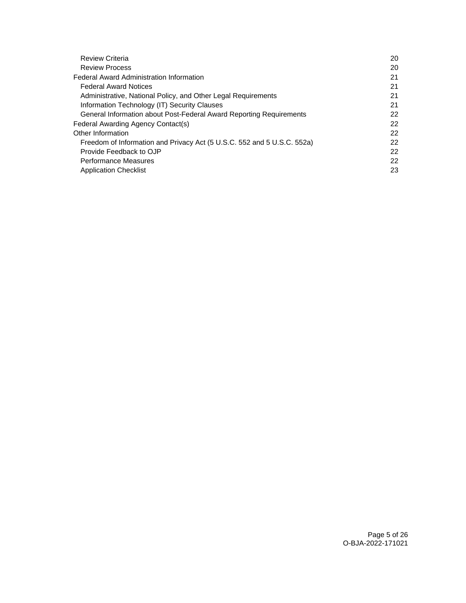| <b>Review Criteria</b>                                                  | 20 |
|-------------------------------------------------------------------------|----|
| <b>Review Process</b>                                                   | 20 |
| <b>Federal Award Administration Information</b>                         | 21 |
| <b>Federal Award Notices</b>                                            | 21 |
| Administrative, National Policy, and Other Legal Requirements           | 21 |
| Information Technology (IT) Security Clauses                            | 21 |
| General Information about Post-Federal Award Reporting Requirements     | 22 |
| Federal Awarding Agency Contact(s)                                      | 22 |
| Other Information                                                       | 22 |
| Freedom of Information and Privacy Act (5 U.S.C. 552 and 5 U.S.C. 552a) | 22 |
| Provide Feedback to OJP                                                 | 22 |
| <b>Performance Measures</b>                                             | 22 |
| <b>Application Checklist</b>                                            | 23 |
|                                                                         |    |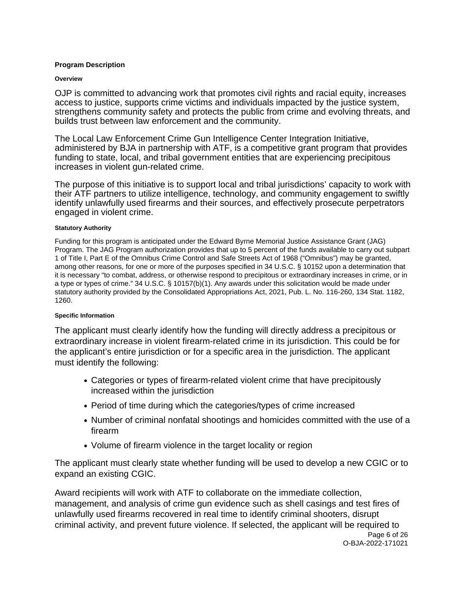#### <span id="page-5-0"></span>**Program Description**

#### **Overview**

OJP is committed to advancing work that promotes civil rights and racial equity, increases access to justice, supports crime victims and individuals impacted by the justice system, strengthens community safety and protects the public from crime and evolving threats, and builds trust between law enforcement and the community.

The Local Law Enforcement Crime Gun Intelligence Center Integration Initiative, administered by BJA in partnership with ATF, is a competitive grant program that provides funding to state, local, and tribal government entities that are experiencing precipitous increases in violent gun-related crime.

The purpose of this initiative is to support local and tribal jurisdictions' capacity to work with their ATF partners to utilize intelligence, technology, and community engagement to swiftly identify unlawfully used firearms and their sources, and effectively prosecute perpetrators engaged in violent crime.

#### **Statutory Authority**

Funding for this program is anticipated under the Edward Byrne Memorial Justice Assistance Grant (JAG) Program. The JAG Program authorization provides that up to 5 percent of the funds available to carry out subpart 1 of Title I, Part E of the Omnibus Crime Control and Safe Streets Act of 1968 ("Omnibus") may be granted, among other reasons, for one or more of the purposes specified in 34 U.S.C. § 10152 upon a determination that it is necessary "to combat, address, or otherwise respond to precipitous or extraordinary increases in crime, or in a type or types of crime." 34 U.S.C. § 10157(b)(1). Any awards under this solicitation would be made under statutory authority provided by the Consolidated Appropriations Act, 2021, Pub. L. No. 116-260, 134 Stat. 1182, 1260.

#### **Specific Information**

The applicant must clearly identify how the funding will directly address a precipitous or extraordinary increase in violent firearm-related crime in its jurisdiction. This could be for the applicant's entire jurisdiction or for a specific area in the jurisdiction. The applicant must identify the following:

- Categories or types of firearm-related violent crime that have precipitously increased within the jurisdiction
- Period of time during which the categories/types of crime increased
- Number of criminal nonfatal shootings and homicides committed with the use of a firearm
- Volume of firearm violence in the target locality or region

The applicant must clearly state whether funding will be used to develop a new CGIC or to expand an existing CGIC.

Award recipients will work with ATF to collaborate on the immediate collection, management, and analysis of crime gun evidence such as shell casings and test fires of unlawfully used firearms recovered in real time to identify criminal shooters, disrupt criminal activity, and prevent future violence. If selected, the applicant will be required to Page 6 of 26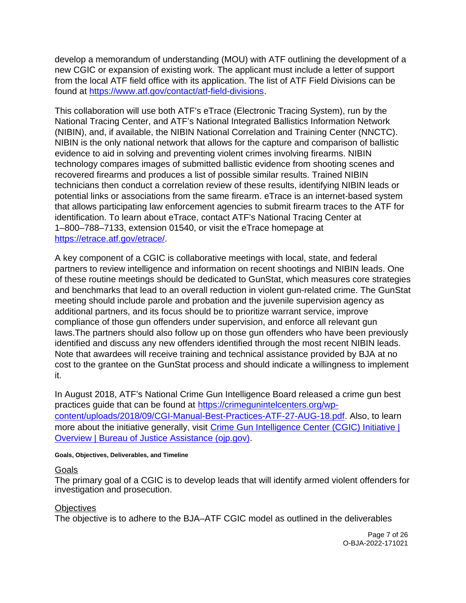<span id="page-6-0"></span>develop a memorandum of understanding (MOU) with ATF outlining the development of a new CGIC or expansion of existing work. The applicant must include a letter of support from the local ATF field office with its application. The list of ATF Field Divisions can be found at [https://www.atf.gov/contact/atf-field-divisions.](https://www.atf.gov/contact/atf-field-divisions)

This collaboration will use both ATF's eTrace (Electronic Tracing System), run by the National Tracing Center, and ATF's National Integrated Ballistics Information Network (NIBIN), and, if available, the NIBIN National Correlation and Training Center (NNCTC). NIBIN is the only national network that allows for the capture and comparison of ballistic evidence to aid in solving and preventing violent crimes involving firearms. NIBIN technology compares images of submitted ballistic evidence from shooting scenes and recovered firearms and produces a list of possible similar results. Trained NIBIN technicians then conduct a correlation review of these results, identifying NIBIN leads or potential links or associations from the same firearm. eTrace is an internet-based system that allows participating law enforcement agencies to submit firearm traces to the ATF for identification. To learn about eTrace, contact ATF's National Tracing Center at 1–800–788–7133, extension 01540, or visit the eTrace homepage at [https://etrace.atf.gov/etrace/.](https://etrace.atf.gov/etrace/)

A key component of a CGIC is collaborative meetings with local, state, and federal partners to review intelligence and information on recent shootings and NIBIN leads. One of these routine meetings should be dedicated to GunStat, which measures core strategies and benchmarks that lead to an overall reduction in violent gun-related crime. The GunStat meeting should include parole and probation and the juvenile supervision agency as additional partners, and its focus should be to prioritize warrant service, improve compliance of those gun offenders under supervision, and enforce all relevant gun laws.The partners should also follow up on those gun offenders who have been previously identified and discuss any new offenders identified through the most recent NIBIN leads. Note that awardees will receive training and technical assistance provided by BJA at no cost to the grantee on the GunStat process and should indicate a willingness to implement it.

In August 2018, ATF's National Crime Gun Intelligence Board released a crime gun best practices guide that can be found at [https://crimegunintelcenters.org/wp](https://crimegunintelcenters.org/wp-content/uploads/2018/09/CGI-Manual-Best-Practices-ATF-27-AUG-18.pdf)[content/uploads/2018/09/CGI-Manual-Best-Practices-ATF-27-AUG-18.pdf.](https://crimegunintelcenters.org/wp-content/uploads/2018/09/CGI-Manual-Best-Practices-ATF-27-AUG-18.pdf) Also, to learn more about the initiative generally, visit Crime Gun Intelligence Center (CGIC) Initiative | [Overview | Bureau of Justice Assistance \(ojp.gov\).](https://bja.ojp.gov/program/cgic-initiative/overview)

#### **Goals, Objectives, Deliverables, and Timeline**

### Goals

The primary goal of a CGIC is to develop leads that will identify armed violent offenders for investigation and prosecution.

### **Objectives**

The objective is to adhere to the BJA–ATF CGIC model as outlined in the deliverables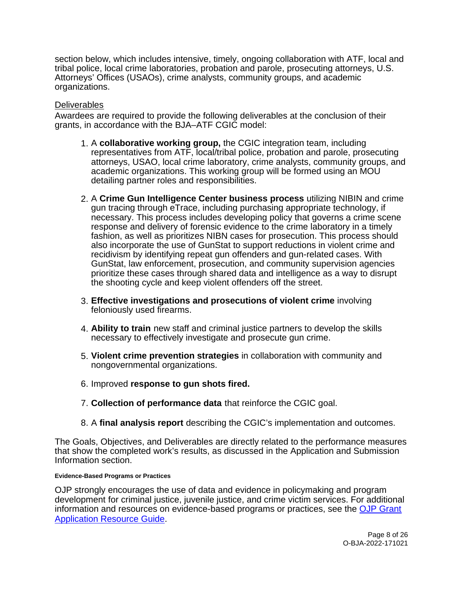<span id="page-7-0"></span>section below, which includes intensive, timely, ongoing collaboration with ATF, local and tribal police, local crime laboratories, probation and parole, prosecuting attorneys, U.S. Attorneys' Offices (USAOs), crime analysts, community groups, and academic organizations.

### **Deliverables**

Awardees are required to provide the following deliverables at the conclusion of their grants, in accordance with the BJA–ATF CGIC model:

- 1. A **collaborative working group,** the CGIC integration team, including representatives from ATF, local/tribal police, probation and parole, prosecuting attorneys, USAO, local crime laboratory, crime analysts, community groups, and academic organizations. This working group will be formed using an MOU detailing partner roles and responsibilities.
- 2. A **Crime Gun Intelligence Center business process** utilizing NIBIN and crime gun tracing through eTrace, including purchasing appropriate technology, if necessary. This process includes developing policy that governs a crime scene response and delivery of forensic evidence to the crime laboratory in a timely fashion, as well as prioritizes NIBN cases for prosecution. This process should also incorporate the use of GunStat to support reductions in violent crime and recidivism by identifying repeat gun offenders and gun-related cases. With GunStat, law enforcement, prosecution, and community supervision agencies prioritize these cases through shared data and intelligence as a way to disrupt the shooting cycle and keep violent offenders off the street.
- 3. **Effective investigations and prosecutions of violent crime** involving feloniously used firearms.
- 4. **Ability to train** new staff and criminal justice partners to develop the skills necessary to effectively investigate and prosecute gun crime.
- 5. **Violent crime prevention strategies** in collaboration with community and nongovernmental organizations.
- 6. Improved **response to gun shots fired.**
- 7. **Collection of performance data** that reinforce the CGIC goal.
- 8. A **final analysis report** describing the CGIC's implementation and outcomes.

The Goals, Objectives, and Deliverables are directly related to the performance measures that show the completed work's results, as discussed in the Application and Submission Information section.

#### **Evidence-Based Programs or Practices**

OJP strongly encourages the use of data and evidence in policymaking and program development for criminal justice, juvenile justice, and crime victim services. For additional information and resources on evidence-based programs or practices, see the [OJP Grant](https://www.ojp.gov/funding/apply/ojp-grant-application-resource-guide#evidence-based)  [Application Resource Guide.](https://www.ojp.gov/funding/apply/ojp-grant-application-resource-guide#evidence-based)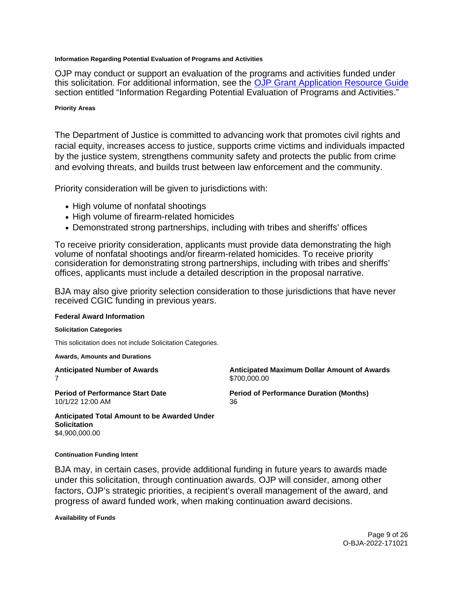#### <span id="page-8-0"></span>**Information Regarding Potential Evaluation of Programs and Activities**

OJP may conduct or support an evaluation of the programs and activities funded under this solicitation. For additional information, see the [OJP Grant Application Resource Guide](https://www.ojp.gov/funding/apply/ojp-grant-application-resource-guide#potential-evaluation)  section entitled "Information Regarding Potential Evaluation of Programs and Activities."

#### **Priority Areas**

The Department of Justice is committed to advancing work that promotes civil rights and racial equity, increases access to justice, supports crime victims and individuals impacted by the justice system, strengthens community safety and protects the public from crime and evolving threats, and builds trust between law enforcement and the community.

Priority consideration will be given to jurisdictions with:

- High volume of nonfatal shootings
- High volume of firearm-related homicides
- Demonstrated strong partnerships, including with tribes and sheriffs' offices

To receive priority consideration, applicants must provide data demonstrating the high volume of nonfatal shootings and/or firearm-related homicides. To receive priority consideration for demonstrating strong partnerships, including with tribes and sheriffs' offices, applicants must include a detailed description in the proposal narrative.

BJA may also give priority selection consideration to those jurisdictions that have never received CGIC funding in previous years.

#### **Federal Award Information**

#### **Solicitation Categories**

This solicitation does not include Solicitation Categories.

**Awards, Amounts and Durations** 

7 \$[700,000.00](https://700,000.00) 

**Anticipated Number of Awards Anticipated Maximum Dollar Amount of Awards** 

10/1/22 12:00 AM 36

**Period of Performance Start Date**  Period of Performance Duration (Months)

**Anticipated Total Amount to be Awarded Under Solicitation**  [\\$4,900,000.00](https://4,900,000.00) 

#### **Continuation Funding Intent**

BJA may, in certain cases, provide additional funding in future years to awards made under this solicitation, through continuation awards. OJP will consider, among other factors, OJP's strategic priorities, a recipient's overall management of the award, and progress of award funded work, when making continuation award decisions.

**Availability of Funds**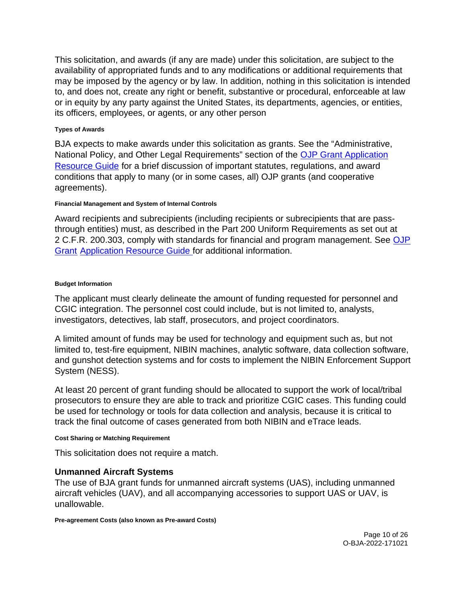<span id="page-9-0"></span>This solicitation, and awards (if any are made) under this solicitation, are subject to the availability of appropriated funds and to any modifications or additional requirements that may be imposed by the agency or by law. In addition, nothing in this solicitation is intended to, and does not, create any right or benefit, substantive or procedural, enforceable at law or in equity by any party against the United States, its departments, agencies, or entities, its officers, employees, or agents, or any other person

#### **Types of Awards**

BJA expects to make awards under this solicitation as grants. See the "Administrative, National Policy, and Other Legal Requirements" section of the [OJP Grant Application](https://ojp.gov/funding/Apply/Resources/Grant-App-Resource-Guide.htm)  [Resource Guide](https://ojp.gov/funding/Apply/Resources/Grant-App-Resource-Guide.htm) for a brief discussion of important statutes, regulations, and award conditions that apply to many (or in some cases, all) OJP grants (and cooperative agreements).

#### **Financial Management and System of Internal Controls**

Award recipients and subrecipients (including recipients or subrecipients that are passthrough entities) must, as described in the Part 200 Uniform Requirements as set out at 2 C.F.R. 200.303, comply with standards for financial and program management. See [OJP](https://www.ojp.gov/funding/apply/ojp-grant-application-resource-guide#fm-internal-controls)  [Grant Application Resource Guide f](https://www.ojp.gov/funding/apply/ojp-grant-application-resource-guide#fm-internal-controls)or additional information.

### **Budget Information**

The applicant must clearly delineate the amount of funding requested for personnel and CGIC integration. The personnel cost could include, but is not limited to, analysts, investigators, detectives, lab staff, prosecutors, and project coordinators.

A limited amount of funds may be used for technology and equipment such as, but not limited to, test-fire equipment, NIBIN machines, analytic software, data collection software, and gunshot detection systems and for costs to implement the NIBIN Enforcement Support System (NESS).

At least 20 percent of grant funding should be allocated to support the work of local/tribal prosecutors to ensure they are able to track and prioritize CGIC cases. This funding could be used for technology or tools for data collection and analysis, because it is critical to track the final outcome of cases generated from both NIBIN and eTrace leads.

#### **Cost Sharing or Matching Requirement**

This solicitation does not require a match.

## **Unmanned Aircraft Systems**

The use of BJA grant funds for unmanned aircraft systems (UAS), including unmanned aircraft vehicles (UAV), and all accompanying accessories to support UAS or UAV, is unallowable.

**Pre-agreement Costs (also known as Pre-award Costs)**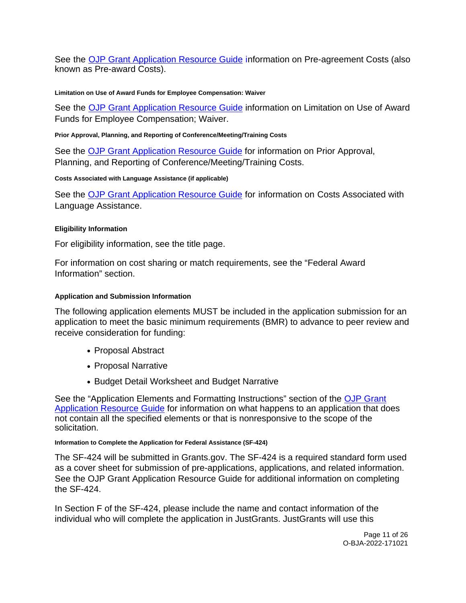<span id="page-10-0"></span>See the [OJP Grant Application Resource Guide](https://www.ojp.gov/funding/apply/ojp-grant-application-resource-guide#pre-agreement-costs) information on Pre-agreement Costs (also known as Pre-award Costs).

#### **Limitation on Use of Award Funds for Employee Compensation: Waiver**

See the [OJP Grant Application Resource Guide](https://www.ojp.gov/funding/apply/ojp-grant-application-resource-guide#limitation-use-award) information on Limitation on Use of Award Funds for Employee Compensation; Waiver.

#### **Prior Approval, Planning, and Reporting of Conference/Meeting/Training Costs**

See the [OJP Grant Application Resource Guide](https://www.ojp.gov/funding/apply/ojp-grant-application-resource-guide#prior-approval) for information on Prior Approval, Planning, and Reporting of Conference/Meeting/Training Costs.

#### **Costs Associated with Language Assistance (if applicable)**

See the [OJP Grant Application Resource Guide](https://www.ojp.gov/funding/apply/ojp-grant-application-resource-guide#costs-associated) for information on Costs Associated with Language Assistance.

#### **Eligibility Information**

For eligibility information, see the title page.

For information on cost sharing or match requirements, see the "Federal Award Information" section.

#### **Application and Submission Information**

The following application elements MUST be included in the application submission for an application to meet the basic minimum requirements (BMR) to advance to peer review and receive consideration for funding:

- Proposal Abstract
- Proposal Narrative
- Budget Detail Worksheet and Budget Narrative

See the "Application Elements and Formatting Instructions" section of the [OJP Grant](https://www.ojp.gov/funding/apply/ojp-grant-application-resource-guide#application-elements)  [Application Resource Guide](https://www.ojp.gov/funding/apply/ojp-grant-application-resource-guide#application-elements) for information on what happens to an application that does not contain all the specified elements or that is nonresponsive to the scope of the solicitation.

#### **Information to Complete the Application for Federal Assistance (SF-424)**

The SF-424 will be submitted in [Grants.gov](https://Grants.gov). The SF-424 is a required standard form used as a cover sheet for submission of pre-applications, applications, and related information. See the OJP Grant Application Resource Guide for additional information on completing the SF-424.

In Section F of the SF-424, please include the name and contact information of the individual who will complete the application in JustGrants. JustGrants will use this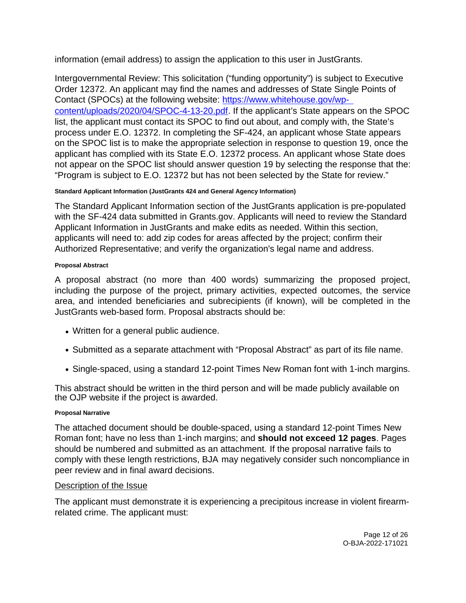<span id="page-11-0"></span>information (email address) to assign the application to this user in JustGrants.

Intergovernmental Review: This solicitation ("funding opportunity") is subject to Executive Order 12372. An applicant may find the names and addresses of State Single Points of Contact (SPOCs) at the following website: [https://www.whitehouse.gov/wp](https://www.whitehouse.gov/wp-content/uploads/2020/04/SPOC-4-13-20.pdf)[content/uploads/2020/04/SPOC-4-13-20.pdf.](https://www.whitehouse.gov/wp-content/uploads/2020/04/SPOC-4-13-20.pdf) If the applicant's State appears on the SPOC list, the applicant must contact its SPOC to find out about, and comply with, the State's process under E.O. 12372. In completing the SF-424, an applicant whose State appears on the SPOC list is to make the appropriate selection in response to question 19, once the applicant has complied with its State E.O. 12372 process. An applicant whose State does not appear on the SPOC list should answer question 19 by selecting the response that the: "Program is subject to E.O. 12372 but has not been selected by the State for review."

### **Standard Applicant Information (JustGrants 424 and General Agency Information)**

The Standard Applicant Information section of the JustGrants application is pre-populated with the SF-424 data submitted in [Grants.gov.](https://Grants.gov) Applicants will need to review the Standard Applicant Information in JustGrants and make edits as needed. Within this section, applicants will need to: add zip codes for areas affected by the project; confirm their Authorized Representative; and verify the organization's legal name and address.

#### **Proposal Abstract**

A proposal abstract (no more than 400 words) summarizing the proposed project, including the purpose of the project, primary activities, expected outcomes, the service area, and intended beneficiaries and subrecipients (if known), will be completed in the JustGrants web-based form. Proposal abstracts should be:

- Written for a general public audience.
- Submitted as a separate attachment with "Proposal Abstract" as part of its file name.
- Single-spaced, using a standard 12-point Times New Roman font with 1-inch margins.

This abstract should be written in the third person and will be made publicly available on the OJP website if the project is awarded.

### **Proposal Narrative**

The attached document should be double-spaced, using a standard 12-point Times New Roman font; have no less than 1-inch margins; and **should not exceed 12 pages**. Pages should be numbered and submitted as an attachment. If the proposal narrative fails to comply with these length restrictions, BJA may negatively consider such noncompliance in peer review and in final award decisions.

### Description of the Issue

The applicant must demonstrate it is experiencing a precipitous increase in violent firearmrelated crime. The applicant must: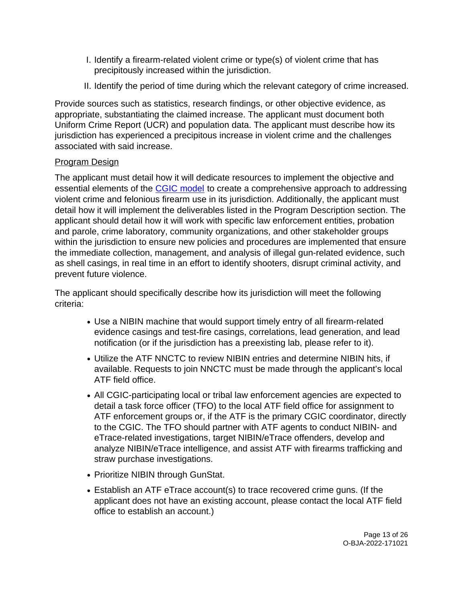- I. Identify a firearm-related violent crime or type(s) of violent crime that has precipitously increased within the jurisdiction.
- II. Identify the period of time during which the relevant category of crime increased.

Provide sources such as statistics, research findings, or other objective evidence, as appropriate, substantiating the claimed increase. The applicant must document both Uniform Crime Report (UCR) and population data. The applicant must describe how its jurisdiction has experienced a precipitous increase in violent crime and the challenges associated with said increase.

## Program Design

The applicant must detail how it will dedicate resources to implement the objective and essential elements of the [CGIC model](https://crimegunintelcenters.org/cgic-concept/) to create a comprehensive approach to addressing violent crime and felonious firearm use in its jurisdiction. Additionally, the applicant must detail how it will implement the deliverables listed in the Program Description section. The applicant should detail how it will work with specific law enforcement entities, probation and parole, crime laboratory, community organizations, and other stakeholder groups within the jurisdiction to ensure new policies and procedures are implemented that ensure the immediate collection, management, and analysis of illegal gun-related evidence, such as shell casings, in real time in an effort to identify shooters, disrupt criminal activity, and prevent future violence.

The applicant should specifically describe how its jurisdiction will meet the following criteria:

- Use a NIBIN machine that would support timely entry of all firearm-related evidence casings and test-fire casings, correlations, lead generation, and lead notification (or if the jurisdiction has a preexisting lab, please refer to it).
- Utilize the ATF NNCTC to review NIBIN entries and determine NIBIN hits, if available. Requests to join NNCTC must be made through the applicant's local ATF field office.
- All CGIC-participating local or tribal law enforcement agencies are expected to detail a task force officer (TFO) to the local ATF field office for assignment to ATF enforcement groups or, if the ATF is the primary CGIC coordinator, directly to the CGIC. The TFO should partner with ATF agents to conduct NIBIN- and eTrace-related investigations, target NIBIN/eTrace offenders, develop and analyze NIBIN/eTrace intelligence, and assist ATF with firearms trafficking and straw purchase investigations.
- Prioritize NIBIN through GunStat.
- Establish an ATF eTrace account(s) to trace recovered crime guns. (If the applicant does not have an existing account, please contact the local ATF field office to establish an account.)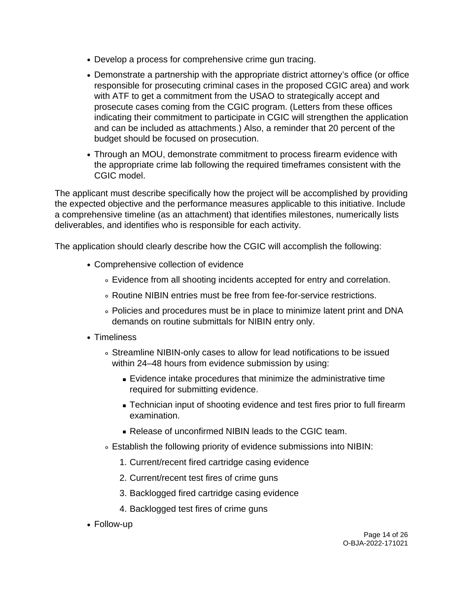- Develop a process for comprehensive crime gun tracing.
- Demonstrate a partnership with the appropriate district attorney's office (or office responsible for prosecuting criminal cases in the proposed CGIC area) and work with ATF to get a commitment from the USAO to strategically accept and prosecute cases coming from the CGIC program. (Letters from these offices indicating their commitment to participate in CGIC will strengthen the application and can be included as attachments.) Also, a reminder that 20 percent of the budget should be focused on prosecution.
- Through an MOU, demonstrate commitment to process firearm evidence with the appropriate crime lab following the required timeframes consistent with the CGIC model.

The applicant must describe specifically how the project will be accomplished by providing the expected objective and the performance measures applicable to this initiative. Include a comprehensive timeline (as an attachment) that identifies milestones, numerically lists deliverables, and identifies who is responsible for each activity.

The application should clearly describe how the CGIC will accomplish the following:

- Comprehensive collection of evidence
	- Evidence from all shooting incidents accepted for entry and correlation.
	- Routine NIBIN entries must be free from fee-for-service restrictions.
	- Policies and procedures must be in place to minimize latent print and DNA demands on routine submittals for NIBIN entry only.
- Timeliness
	- Streamline NIBIN-only cases to allow for lead notifications to be issued within 24–48 hours from evidence submission by using:
		- Evidence intake procedures that minimize the administrative time required for submitting evidence.
		- Technician input of shooting evidence and test fires prior to full firearm examination.
		- Release of unconfirmed NIBIN leads to the CGIC team.
	- Establish the following priority of evidence submissions into NIBIN:
		- 1. Current/recent fired cartridge casing evidence
		- 2. Current/recent test fires of crime guns
		- 3. Backlogged fired cartridge casing evidence
		- 4. Backlogged test fires of crime guns
- Follow-up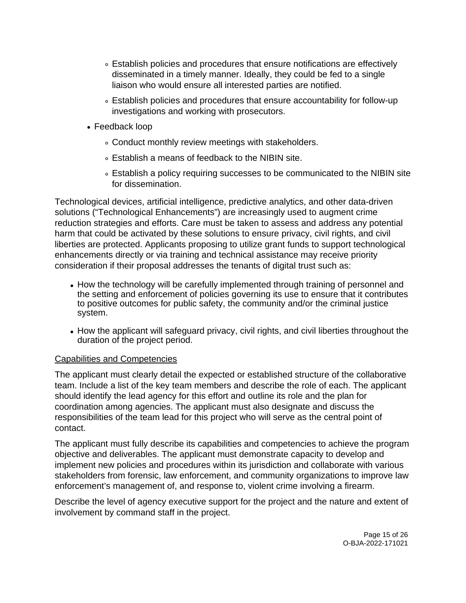- Establish policies and procedures that ensure notifications are effectively disseminated in a timely manner. Ideally, they could be fed to a single liaison who would ensure all interested parties are notified.
- Establish policies and procedures that ensure accountability for follow-up investigations and working with prosecutors.
- Feedback loop
	- Conduct monthly review meetings with stakeholders.
	- Establish a means of feedback to the NIBIN site.
	- Establish a policy requiring successes to be communicated to the NIBIN site for dissemination.

Technological devices, artificial intelligence, predictive analytics, and other data-driven solutions ("Technological Enhancements") are increasingly used to augment crime reduction strategies and efforts. Care must be taken to assess and address any potential harm that could be activated by these solutions to ensure privacy, civil rights, and civil liberties are protected. Applicants proposing to utilize grant funds to support technological enhancements directly or via training and technical assistance may receive priority consideration if their proposal addresses the tenants of digital trust such as:

- How the technology will be carefully implemented through training of personnel and the setting and enforcement of policies governing its use to ensure that it contributes to positive outcomes for public safety, the community and/or the criminal justice system.
- How the applicant will safeguard privacy, civil rights, and civil liberties throughout the duration of the project period.

## Capabilities and Competencies

The applicant must clearly detail the expected or established structure of the collaborative team. Include a list of the key team members and describe the role of each. The applicant should identify the lead agency for this effort and outline its role and the plan for coordination among agencies. The applicant must also designate and discuss the responsibilities of the team lead for this project who will serve as the central point of contact.

The applicant must fully describe its capabilities and competencies to achieve the program objective and deliverables. The applicant must demonstrate capacity to develop and implement new policies and procedures within its jurisdiction and collaborate with various stakeholders from forensic, law enforcement, and community organizations to improve law enforcement's management of, and response to, violent crime involving a firearm.

Describe the level of agency executive support for the project and the nature and extent of involvement by command staff in the project.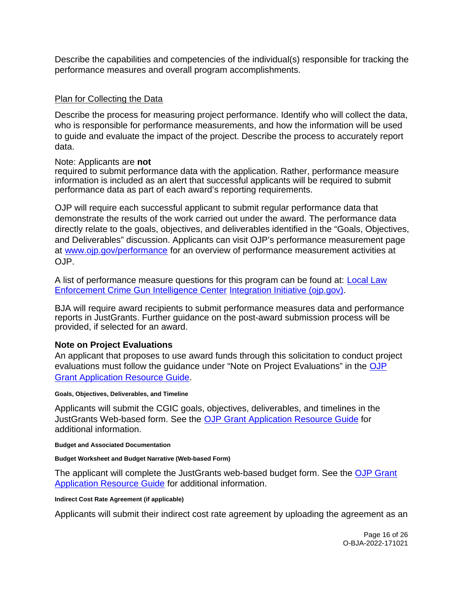<span id="page-15-0"></span>Describe the capabilities and competencies of the individual(s) responsible for tracking the performance measures and overall program accomplishments.

### Plan for Collecting the Data

Describe the process for measuring project performance. Identify who will collect the data, who is responsible for performance measurements, and how the information will be used to guide and evaluate the impact of the project. Describe the process to accurately report data.

### Note: Applicants are **not**

required to submit performance data with the application. Rather, performance measure information is included as an alert that successful applicants will be required to submit performance data as part of each award's reporting requirements.

OJP will require each successful applicant to submit regular performance data that demonstrate the results of the work carried out under the award. The performance data directly relate to the goals, objectives, and deliverables identified in the "Goals, Objectives, and Deliverables" discussion. Applicants can visit OJP's performance measurement page at [www.ojp.gov/performance](https://www.ojp.gov/performance) for an overview of performance measurement activities at OJP.

A list of performance measure questions for this program can be found at: **Local Law** [Enforcement Crime Gun Intelligence Center Integration Initiative \(ojp.gov\).](https://bja.ojp.gov/sites/g/files/xyckuh186/files/media/document/CGIC-Measures.pdf)

BJA will require award recipients to submit performance measures data and performance reports in JustGrants. Further guidance on the post-award submission process will be provided, if selected for an award.

## **Note on Project Evaluations**

An applicant that proposes to use award funds through this solicitation to conduct project evaluations must follow the guidance under "Note on Project Evaluations" in the OJP [Grant Application Resource Guide.](https://www.ojp.gov/funding/apply/ojp-grant-application-resource-guide#project-evaluations)

#### **Goals, Objectives, Deliverables, and Timeline**

Applicants will submit the CGIC goals, objectives, deliverables, and timelines in the JustGrants Web-based form. See the [OJP Grant Application Resource Guide](https://www.ojp.gov/funding/apply/ojp-grant-application-resource-guide) for additional information.

#### **Budget and Associated Documentation**

#### **Budget Worksheet and Budget Narrative (Web-based Form)**

The applicant will complete the JustGrants web-based budget form. See the OJP Grant [Application Resource Guide](https://www.ojp.gov/funding/apply/ojp-grant-application-resource-guide#budget-prep) for additional information.

#### **Indirect Cost Rate Agreement (if applicable)**

Applicants will submit their indirect cost rate agreement by uploading the agreement as an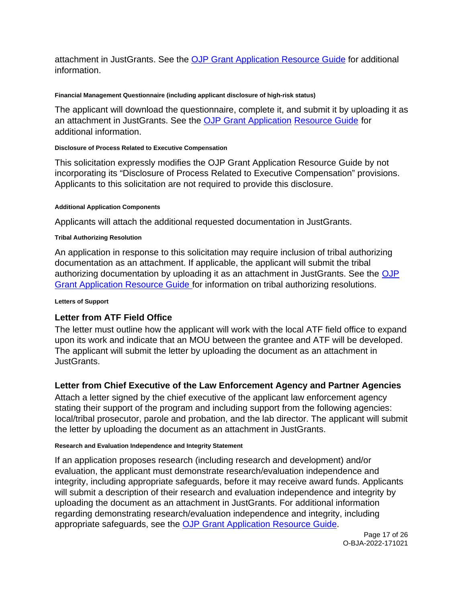<span id="page-16-0"></span>attachment in JustGrants. See the [OJP Grant Application Resource Guide](https://www.ojp.gov/funding/apply/ojp-grant-application-resource-guide#budget-prep) for additional information.

### **Financial Management Questionnaire (including applicant disclosure of high-risk status)**

The applicant will download the questionnaire, complete it, and submit it by uploading it as an attachment in JustGrants. See the [OJP Grant Application Resource Guide](https://www.ojp.gov/funding/apply/ojp-grant-application-resource-guide#fm-internal-controls-questionnaire) for additional information.

### **Disclosure of Process Related to Executive Compensation**

This solicitation expressly modifies the OJP Grant Application Resource Guide by not incorporating its "Disclosure of Process Related to Executive Compensation" provisions. Applicants to this solicitation are not required to provide this disclosure.

### **Additional Application Components**

Applicants will attach the additional requested documentation in JustGrants.

### **Tribal Authorizing Resolution**

An application in response to this solicitation may require inclusion of tribal authorizing documentation as an attachment. If applicable, the applicant will submit the tribal authorizing documentation by uploading it as an attachment in JustGrants. See the [OJP](https://www.ojp.gov/funding/apply/ojp-grant-application-resource-guide#tribal-authorizing-resolution)  [Grant Application Resource Guide f](https://www.ojp.gov/funding/apply/ojp-grant-application-resource-guide#tribal-authorizing-resolution)or information on tribal authorizing resolutions.

#### **Letters of Support**

## **Letter from ATF Field Office**

The letter must outline how the applicant will work with the local ATF field office to expand upon its work and indicate that an MOU between the grantee and ATF will be developed. The applicant will submit the letter by uploading the document as an attachment in JustGrants.

## **Letter from Chief Executive of the Law Enforcement Agency and Partner Agencies**

Attach a letter signed by the chief executive of the applicant law enforcement agency stating their support of the program and including support from the following agencies: local/tribal prosecutor, parole and probation, and the lab director. The applicant will submit the letter by uploading the document as an attachment in JustGrants.

#### **Research and Evaluation Independence and Integrity Statement**

If an application proposes research (including research and development) and/or evaluation, the applicant must demonstrate research/evaluation independence and integrity, including appropriate safeguards, before it may receive award funds. Applicants will submit a description of their research and evaluation independence and integrity by uploading the document as an attachment in JustGrants. For additional information regarding demonstrating research/evaluation independence and integrity, including appropriate safeguards, see the [OJP Grant Application Resource Guide.](https://www.ojp.gov/funding/apply/ojp-grant-application-resource-guide#research-evaluation)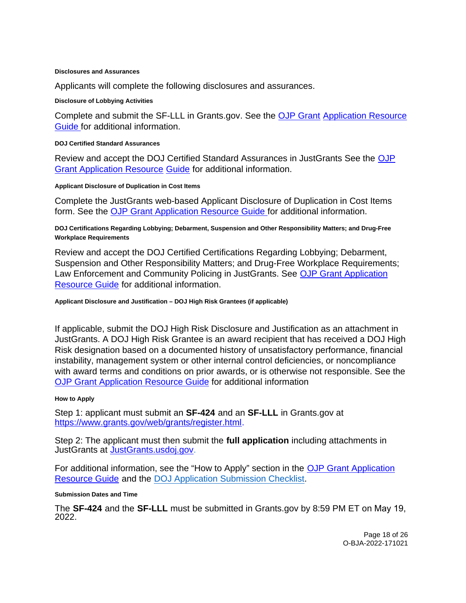#### <span id="page-17-0"></span>**Disclosures and Assurances**

Applicants will complete the following disclosures and assurances.

#### **Disclosure of Lobbying Activities**

Complete and submit the SF-LLL in [Grants.gov.](https://Grants.gov) See the [OJP Grant](https://www.ojp.gov/funding/apply/ojp-grant-application-resource-guide#apply) [Application Resource](https://www.ojp.gov/funding/apply/ojp-grant-application-resource-guide#apply)  [Guide fo](https://www.ojp.gov/funding/apply/ojp-grant-application-resource-guide#apply)r additional information.

#### **DOJ Certified Standard Assurances**

Review and accept the DOJ Certified Standard Assurances in JustGrants See the [OJP](https://www.ojp.gov/funding/apply/ojp-grant-application-resource-guide#administrative)  [Grant Application Resource](https://www.ojp.gov/funding/apply/ojp-grant-application-resource-guide#administrative) [Guide](https://www.ojp.gov/funding/apply/ojp-grant-application-resource-guide#administrative) for additional information.

#### **Applicant Disclosure of Duplication in Cost Items**

Complete the JustGrants web-based Applicant Disclosure of Duplication in Cost Items form. See the [OJP Grant Application Resource Guide f](https://www.ojp.gov/funding/apply/ojp-grant-application-resource-guide#applicant-disclosure-pending-applications)or additional information.

**DOJ Certifications Regarding Lobbying; Debarment, Suspension and Other Responsibility Matters; and Drug-Free Workplace Requirements** 

Review and accept the DOJ Certified Certifications Regarding Lobbying; Debarment, Suspension and Other Responsibility Matters; and Drug-Free Workplace Requirements; Law Enforcement and Community Policing in JustGrants. See [OJP Grant Application](https://www.ojp.gov/funding/apply/ojp-grant-application-resource-guide#administrative)  [Resource Guide](https://www.ojp.gov/funding/apply/ojp-grant-application-resource-guide#administrative) for additional information.

#### **Applicant Disclosure and Justification – DOJ High Risk Grantees (if applicable)**

If applicable, submit the DOJ High Risk Disclosure and Justification as an attachment in JustGrants. A DOJ High Risk Grantee is an award recipient that has received a DOJ High Risk designation based on a documented history of unsatisfactory performance, financial instability, management system or other internal control deficiencies, or noncompliance with award terms and conditions on prior awards, or is otherwise not responsible. See the [OJP Grant Application Resource Guide](https://www.ojp.gov/funding/apply/ojp-grant-application-resource-guide#applicant-disclosure-justification) for additional information

#### **How to Apply**

Step 1: applicant must submit an **SF-424** and an **SF-LLL** in [Grants.gov](https://Grants.gov) at [https://www.grants.gov/web/grants/register.html.](https://www.grants.gov/web/grants/register.html)

Step 2: The applicant must then submit the **full application** including attachments in JustGrants at JustGrants.usdoj.gov.

For additional information, see the "How to Apply" section in the OJP Grant Application [Resource Guide](https://www.ojp.gov/funding/apply/ojp-grant-application-resource-guide#apply) and the [DOJ Application Submission Checklist.](https://justicegrants.usdoj.gov/sites/g/files/xyckuh296/files/media/document/appln-submission-checklist.pdf)

#### **Submission Dates and Time**

The **SF-424** and the **SF-LLL** must be submitted in [Grants.gov](https://Grants.gov) by 8:59 PM ET on May 19, 2022.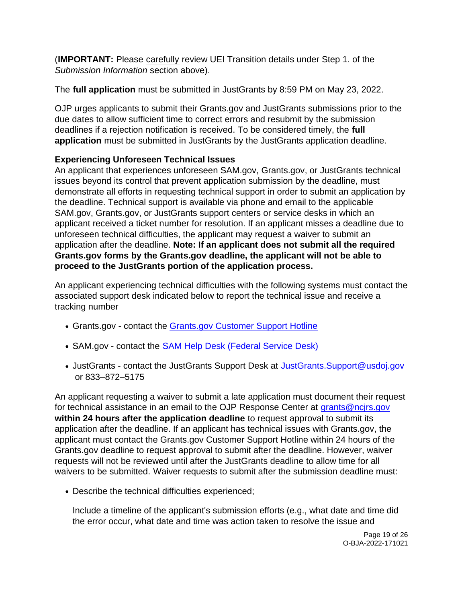(**IMPORTANT:** Please carefully review UEI Transition details under Step 1. of the Submission Information section above).

The **full application** must be submitted in JustGrants by 8:59 PM on May 23, 2022.

OJP urges applicants to submit their [Grants.gov](https://Grants.gov) and JustGrants submissions prior to the due dates to allow sufficient time to correct errors and resubmit by the submission deadlines if a rejection notification is received. To be considered timely, the **full application** must be submitted in JustGrants by the JustGrants application deadline.

## **Experiencing Unforeseen Technical Issues**

An applicant that experiences unforeseen SAM.gov, [Grants.gov,](https://Grants.gov) or JustGrants technical issues beyond its control that prevent application submission by the deadline, must demonstrate all efforts in requesting technical support in order to submit an application by the deadline. Technical support is available via phone and email to the applicable SAM.gov, [Grants.gov,](https://Grants.gov) or JustGrants support centers or service desks in which an applicant received a ticket number for resolution. If an applicant misses a deadline due to unforeseen technical difficulties, the applicant may request a waiver to submit an application after the deadline. **Note: If an applicant does not submit all the required [Grants.gov](https://Grants.gov) forms by the [Grants.gov](https://Grants.gov) deadline, the applicant will not be able to proceed to the JustGrants portion of the application process.** 

An applicant experiencing technical difficulties with the following systems must contact the associated support desk indicated below to report the technical issue and receive a tracking number

- [Grants.gov](https://Grants.gov) contact the Grants.gov Customer Support Hotline
- SAM.gov contact the **SAM Help Desk (Federal Service Desk)**
- JustGrants contact the JustGrants Support Desk at [JustGrants.Support@usdoj.gov](mailto:JustGrants.Support@usdoj.gov) or 833–872–5175

An applicant requesting a waiver to submit a late application must document their request for technical assistance in an email to the OJP Response Center at grants@ncirs.gov **within 24 hours after the application deadline** to request approval to submit its application after the deadline. If an applicant has technical issues with [Grants.gov,](https://Grants.gov) the applicant must contact the [Grants.gov](https://Grants.gov) Customer Support Hotline within 24 hours of the [Grants.gov](https://Grants.gov) deadline to request approval to submit after the deadline. However, waiver requests will not be reviewed until after the JustGrants deadline to allow time for all waivers to be submitted. Waiver requests to submit after the submission deadline must:

Describe the technical difficulties experienced;

Include a timeline of the applicant's submission efforts (e.g., what date and time did the error occur, what date and time was action taken to resolve the issue and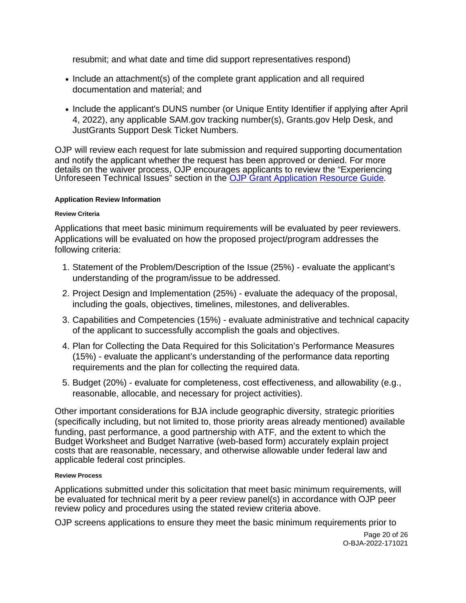<span id="page-19-0"></span>resubmit; and what date and time did support representatives respond)

- Include an attachment(s) of the complete grant application and all required documentation and material; and
- Include the applicant's DUNS number (or Unique Entity Identifier if applying after April 4, 2022), any applicable SAM.gov tracking number(s), [Grants.gov](https://Grants.gov) Help Desk, and JustGrants Support Desk Ticket Numbers.

OJP will review each request for late submission and required supporting documentation and notify the applicant whether the request has been approved or denied. For more details on the waiver process, OJP encourages applicants to review the "Experiencing Unforeseen Technical Issues" section in the [OJP Grant Application Resource Guide](https://www.ojp.gov/funding/apply/ojp-grant-application-resource-guide#experiencing-unforeseen-technical-issues).

### **Application Review Information**

### **Review Criteria**

Applications that meet basic minimum requirements will be evaluated by peer reviewers. Applications will be evaluated on how the proposed project/program addresses the following criteria:

- 1. Statement of the Problem/Description of the Issue (25%) evaluate the applicant's understanding of the program/issue to be addressed.
- 2. Project Design and Implementation (25%) evaluate the adequacy of the proposal, including the goals, objectives, timelines, milestones, and deliverables.
- 3. Capabilities and Competencies (15%) evaluate administrative and technical capacity of the applicant to successfully accomplish the goals and objectives.
- 4. Plan for Collecting the Data Required for this Solicitation's Performance Measures (15%) - evaluate the applicant's understanding of the performance data reporting requirements and the plan for collecting the required data.
- 5. Budget (20%) evaluate for completeness, cost effectiveness, and allowability (e.g., reasonable, allocable, and necessary for project activities).

Other important considerations for BJA include geographic diversity, strategic priorities (specifically including, but not limited to, those priority areas already mentioned) available funding, past performance, a good partnership with ATF, and the extent to which the Budget Worksheet and Budget Narrative (web-based form) accurately explain project costs that are reasonable, necessary, and otherwise allowable under federal law and applicable federal cost principles.

#### **Review Process**

Applications submitted under this solicitation that meet basic minimum requirements, will be evaluated for technical merit by a peer review panel(s) in accordance with OJP peer review policy and procedures using the stated review criteria above.

OJP screens applications to ensure they meet the basic minimum requirements prior to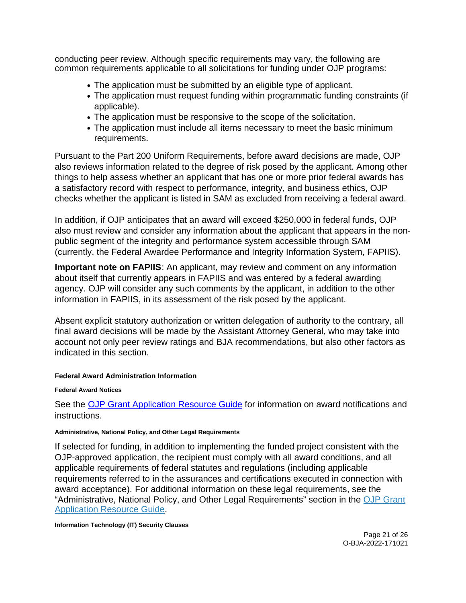<span id="page-20-0"></span>conducting peer review. Although specific requirements may vary, the following are common requirements applicable to all solicitations for funding under OJP programs:

- The application must be submitted by an eligible type of applicant.
- The application must request funding within programmatic funding constraints (if applicable).
- The application must be responsive to the scope of the solicitation.
- The application must include all items necessary to meet the basic minimum requirements.

Pursuant to the Part 200 Uniform Requirements, before award decisions are made, OJP also reviews information related to the degree of risk posed by the applicant. Among other things to help assess whether an applicant that has one or more prior federal awards has a satisfactory record with respect to performance, integrity, and business ethics, OJP checks whether the applicant is listed in SAM as excluded from receiving a federal award.

In addition, if OJP anticipates that an award will exceed \$250,000 in federal funds, OJP also must review and consider any information about the applicant that appears in the nonpublic segment of the integrity and performance system accessible through SAM (currently, the Federal Awardee Performance and Integrity Information System, FAPIIS).

**Important note on FAPIIS**: An applicant, may review and comment on any information about itself that currently appears in FAPIIS and was entered by a federal awarding agency. OJP will consider any such comments by the applicant, in addition to the other information in FAPIIS, in its assessment of the risk posed by the applicant.

Absent explicit statutory authorization or written delegation of authority to the contrary, all final award decisions will be made by the Assistant Attorney General, who may take into account not only peer review ratings and BJA recommendations, but also other factors as indicated in this section.

#### **Federal Award Administration Information**

#### **Federal Award Notices**

See the [OJP Grant Application Resource Guide](https://www.ojp.gov/funding/apply/ojp-grant-application-resource-guide#federal-award-notices) for information on award notifications and instructions.

#### **Administrative, National Policy, and Other Legal Requirements**

If selected for funding, in addition to implementing the funded project consistent with the OJP-approved application, the recipient must comply with all award conditions, and all applicable requirements of federal statutes and regulations (including applicable requirements referred to in the assurances and certifications executed in connection with award acceptance). For additional information on these legal requirements, see the "Administrative, National Policy, and Other Legal Requirements" section in the [OJP Grant](https://www.ojp.gov/funding/apply/ojp-grant-application-resource-guide#administrative)  [Application Resource Guide.](https://www.ojp.gov/funding/apply/ojp-grant-application-resource-guide#administrative)

#### **Information Technology (IT) Security Clauses**

Page 21 of 26 O-BJA-2022-171021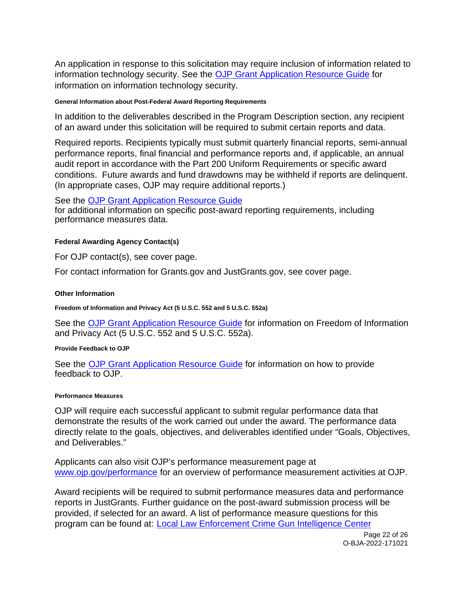<span id="page-21-0"></span>An application in response to this solicitation may require inclusion of information related to information technology security. See the **OJP Grant Application Resource Guide** for information on information technology security.

#### **General Information about Post-Federal Award Reporting Requirements**

In addition to the deliverables described in the Program Description section, any recipient of an award under this solicitation will be required to submit certain reports and data.

Required reports. Recipients typically must submit quarterly financial reports, semi-annual performance reports, final financial and performance reports and, if applicable, an annual audit report in accordance with the Part 200 Uniform Requirements or specific award conditions. Future awards and fund drawdowns may be withheld if reports are delinquent. (In appropriate cases, OJP may require additional reports.)

See the [OJP Grant Application Resource Guide](https://www.ojp.gov/funding/apply/ojp-grant-application-resource-guide#general-information)  for additional information on specific post-award reporting requirements, including performance measures data.

### **Federal Awarding Agency Contact(s)**

For OJP contact(s), see cover page.

For contact information for [Grants.gov](https://Grants.gov) and [JustGrants.gov,](https://JustGrants.gov) see cover page.

#### **Other Information**

**Freedom of Information and Privacy Act (5 U.S.C. 552 and 5 U.S.C. 552a)** 

See the [OJP Grant Application Resource Guide](https://www.ojp.gov/funding/apply/ojp-grant-application-resource-guide#foia) for information on Freedom of Information and Privacy Act (5 U.S.C. 552 and 5 U.S.C. 552a).

#### **Provide Feedback to OJP**

See the [OJP Grant Application Resource Guide](https://www.ojp.gov/funding/apply/ojp-grant-application-resource-guide#feedback) for information on how to provide feedback to OJP.

#### **Performance Measures**

OJP will require each successful applicant to submit regular performance data that demonstrate the results of the work carried out under the award. The performance data directly relate to the goals, objectives, and deliverables identified under "Goals, Objectives, and Deliverables."

Applicants can also visit OJP's performance measurement page at [www.ojp.gov/performance](https://www.ojp.gov/performance) for an overview of performance measurement activities at OJP.

Award recipients will be required to submit performance measures data and performance reports in JustGrants. Further guidance on the post-award submission process will be provided, if selected for an award. A list of performance measure questions for this program can be found at: [Local Law Enforcement Crime Gun Intelligence Center](https://bja.ojp.gov/sites/g/files/xyckuh186/files/media/document/CGIC-Measures.pdf)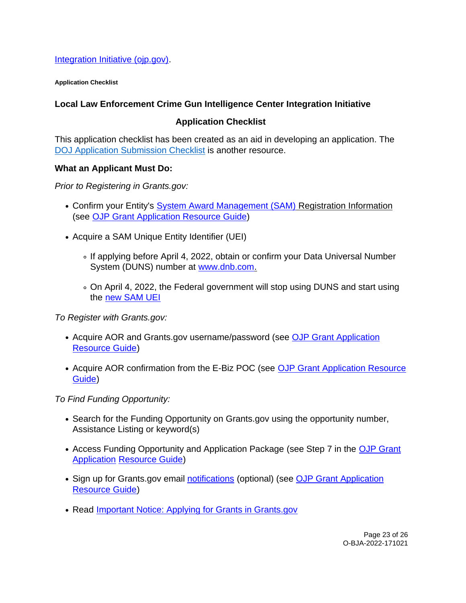<span id="page-22-0"></span>[Integration Initiative \(ojp.gov\).](https://bja.ojp.gov/sites/g/files/xyckuh186/files/media/document/CGIC-Measures.pdf)

**Application Checklist** 

## **Local Law Enforcement Crime Gun Intelligence Center Integration Initiative**

## **Application Checklist**

This application checklist has been created as an aid in developing an application. The [DOJ Application Submission Checklist](https://justicegrants.usdoj.gov/sites/g/files/xyckuh296/files/media/document/appln-submission-checklist.pdf) is another resource.

### **What an Applicant Must Do:**

Prior to Registering in [Grants.gov](https://Grants.gov):

- Confirm your Entity's [System Award Management \(SAM\)](https://sam.gov/SAM/) Registration Information (see [OJP Grant Application Resource Guide\)](https://www.ojp.gov/funding/apply/ojp-grant-application-resource-guide#apply)
- Acquire a SAM Unique Entity Identifier (UEI)
	- If applying before April 4, 2022, obtain or confirm your Data Universal Number System (DUNS) number at [www.dnb.com.](http://www.dnb.com)
	- On April 4, 2022, the Federal government will stop using DUNS and start using the [new SAM UEI](https://justicegrants.usdoj.gov/resources/system-for-award-management#transition-to-unique-entity-id-sam)

To Register with [Grants.gov](https://Grants.gov):

- Acquire AOR and [Grants.gov](https://Grants.gov) username/password (see OJP Grant Application [Resource Guide\)](https://www.ojp.gov/funding/apply/ojp-grant-application-resource-guide#apply)
- Acquire AOR confirmation from the E-Biz POC (see OJP Grant Application Resource [Guide\)](https://www.ojp.gov/funding/apply/ojp-grant-application-resource-guide#apply)

To Find Funding Opportunity:

- Search for the Funding Opportunity on [Grants.gov](https://Grants.gov) using the opportunity number, Assistance Listing or keyword(s)
- Access Funding Opportunity and Application Package (see Step 7 in the OJP Grant [Application Resource Guide\)](https://www.ojp.gov/funding/apply/ojp-grant-application-resource-guide#apply)
- Sign up for [Grants.gov](https://Grants.gov) email [notifications](https://www.grants.gov/web/grants/manage-subscriptions.html) (optional) (see OJP Grant Application [Resource Guide\)](https://www.ojp.gov/funding/apply/ojp-grant-application-resource-guide#apply)
- Read Important Notice: Applying for Grants in Grants.gov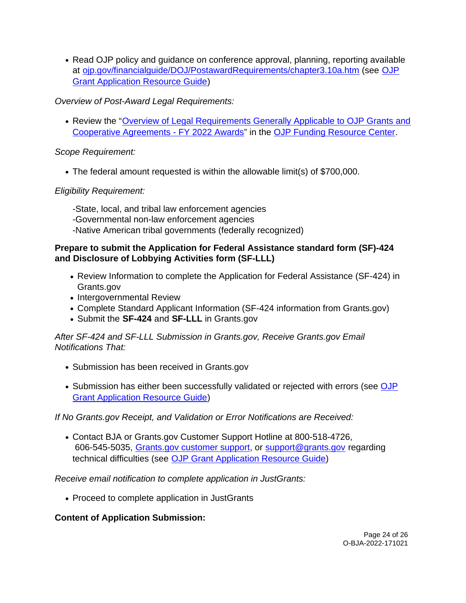• Read OJP policy and quidance on conference approval, planning, reporting available at [ojp.gov/financialguide/DOJ/PostawardRequirements/chapter3.10a.htm](https://ojp.gov/financialguide/DOJ/PostawardRequirements/chapter3.10a.htm) (see [OJP](https://www.ojp.gov/funding/apply/ojp-grant-application-resource-guide#prior-approval)  [Grant Application Resource Guide\)](https://www.ojp.gov/funding/apply/ojp-grant-application-resource-guide#prior-approval)

## Overview of Post-Award Legal Requirements:

• Review the "Overview of Legal Requirements Generally Applicable to OJP Grants and [Cooperative Agreements - FY 2022 Awards"](https://www.ojp.gov/funding/explore/legal-overview-awards) in the [OJP Funding Resource Center.](https://www.ojp.gov/funding/index.htm)

## Scope Requirement:

The federal amount requested is within the allowable limit(s) of \$700,000.

## Eligibility Requirement:

-State, local, and tribal law enforcement agencies -Governmental non-law enforcement agencies -Native American tribal governments (federally recognized)

## **Prepare to submit the Application for Federal Assistance standard form (SF)-424 and Disclosure of Lobbying Activities form (SF-LLL)**

- Review Information to complete the Application for Federal Assistance (SF-424) in [Grants.gov](https://Grants.gov)
- Intergovernmental Review
- Complete Standard Applicant Information (SF-424 information from [Grants.gov\)](https://Grants.gov)
- Submit the **SF-424** and **SF-LLL** in [Grants.gov](https://Grants.gov)

After SF-424 and SF-LLL Submission in [Grants.gov](https://Grants.gov), Receive [Grants.gov](https://Grants.gov) Email Notifications That:

- Submission has been received in [Grants.gov](https://Grants.gov)
- Submission has either been successfully validated or rejected with errors (see OJP [Grant Application Resource Guide\)](https://www.ojp.gov/funding/apply/ojp-grant-application-resource-guide#apply)

If No [Grants.gov](https://Grants.gov) Receipt, and Validation or Error Notifications are Received:

Contact BJA or [Grants.gov](https://Grants.gov) Customer Support Hotline at 800-518-4726, 606-545-5035, [Grants.gov customer support,](https://www.grants.gov/web/grants/support.html) or [support@grants.gov](mailto:support@grants.gov) regarding technical difficulties (see [OJP Grant Application Resource Guide\)](https://www.ojp.gov/funding/apply/ojp-grant-application-resource-guide#apply)

Receive email notification to complete application in JustGrants:

• Proceed to complete application in JustGrants

## **Content of Application Submission:**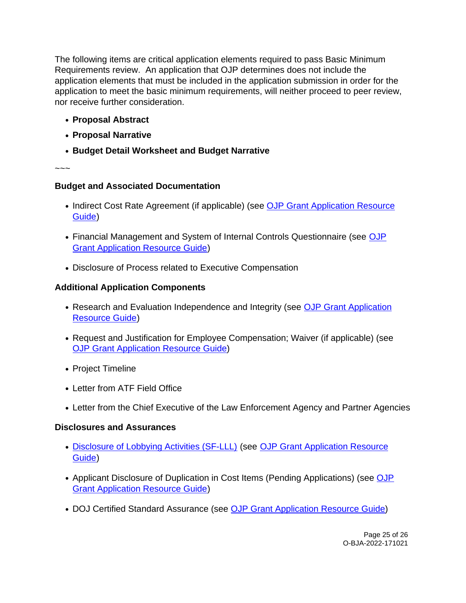The following items are critical application elements required to pass Basic Minimum Requirements review. An application that OJP determines does not include the application elements that must be included in the application submission in order for the application to meet the basic minimum requirements, will neither proceed to peer review, nor receive further consideration.

- **Proposal Abstract**
- **Proposal Narrative**
- **Budget Detail Worksheet and Budget Narrative**

~~~

## **Budget and Associated Documentation**

- Indirect Cost Rate Agreement (if applicable) (see OJP Grant Application Resource [Guide\)](https://www.ojp.gov/funding/apply/ojp-grant-application-resource-guide#indirect-cost)
- Financial Management and System of Internal Controls Questionnaire (see OJP [Grant Application Resource Guide\)](https://www.ojp.gov/funding/apply/ojp-grant-application-resource-guide#fm-internal-controls-questionnaire)
- Disclosure of Process related to Executive Compensation

## **Additional Application Components**

- Research and Evaluation Independence and Integrity (see OJP Grant Application [Resource Guide\)](https://www.ojp.gov/funding/apply/ojp-grant-application-resource-guide#research-evaluation)
- Request and Justification for Employee Compensation; Waiver (if applicable) (see [OJP Grant Application Resource Guide\)](https://www.ojp.gov/funding/apply/ojp-grant-application-resource-guide#limitation-use-award)
- Project Timeline
- Letter from ATF Field Office
- Letter from the Chief Executive of the Law Enforcement Agency and Partner Agencies

## **Disclosures and Assurances**

- [Disclosure of Lobbying Activities \(SF-LLL\)](https://ojp.gov/funding/Apply/Resources/Disclosure.pdf) (see OJP Grant Application Resource [Guide\)](https://www.ojp.gov/funding/apply/ojp-grant-application-resource-guide#apply)
- Applicant Disclosure of Duplication in Cost Items (Pending Applications) (see OJP [Grant Application Resource Guide\)](https://www.ojp.gov/funding/apply/ojp-grant-application-resource-guide#applicant-disclosure-pending-applications)
- DOJ Certified Standard Assurance (see [OJP Grant Application Resource Guide\)](https://www.ojp.gov/funding/apply/ojp-grant-application-resource-guide#administrative)